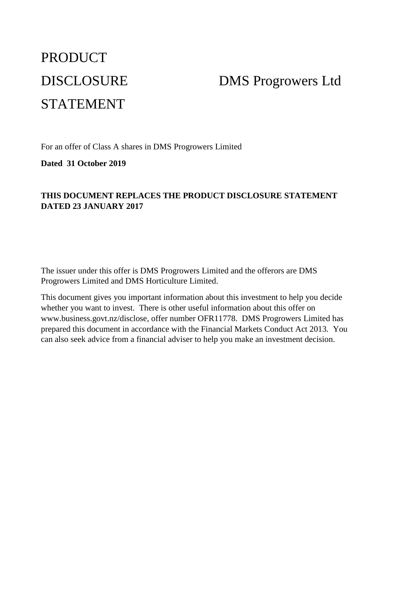# PRODUCT DISCLOSURE DMS Progrowers Ltd STATEMENT

For an offer of Class A shares in DMS Progrowers Limited

**Dated 31 October 2019**

#### **THIS DOCUMENT REPLACES THE PRODUCT DISCLOSURE STATEMENT DATED 23 JANUARY 2017**

The issuer under this offer is DMS Progrowers Limited and the offerors are DMS Progrowers Limited and DMS Horticulture Limited.

This document gives you important information about this investment to help you decide whether you want to invest. There is other useful information about this offer on www.business.govt.nz/disclose, offer number OFR11778. DMS Progrowers Limited has prepared this document in accordance with the Financial Markets Conduct Act 2013. You can also seek advice from a financial adviser to help you make an investment decision.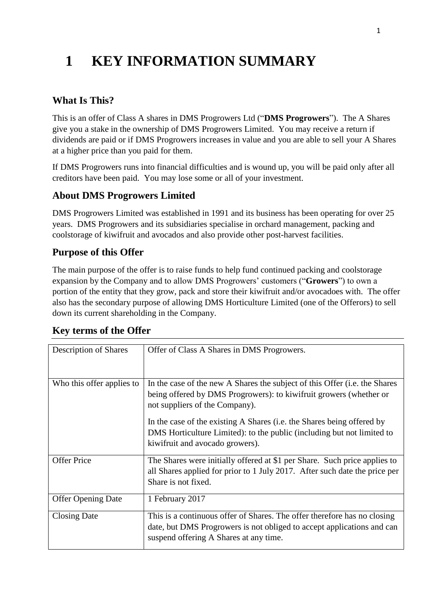# **1 KEY INFORMATION SUMMARY**

# **What Is This?**

This is an offer of Class A shares in DMS Progrowers Ltd ("**DMS Progrowers**"). The A Shares give you a stake in the ownership of DMS Progrowers Limited. You may receive a return if dividends are paid or if DMS Progrowers increases in value and you are able to sell your A Shares at a higher price than you paid for them.

If DMS Progrowers runs into financial difficulties and is wound up, you will be paid only after all creditors have been paid. You may lose some or all of your investment.

### **About DMS Progrowers Limited**

DMS Progrowers Limited was established in 1991 and its business has been operating for over 25 years. DMS Progrowers and its subsidiaries specialise in orchard management, packing and coolstorage of kiwifruit and avocados and also provide other post-harvest facilities.

### **Purpose of this Offer**

The main purpose of the offer is to raise funds to help fund continued packing and coolstorage expansion by the Company and to allow DMS Progrowers' customers ("**Growers**") to own a portion of the entity that they grow, pack and store their kiwifruit and/or avocadoes with. The offer also has the secondary purpose of allowing DMS Horticulture Limited (one of the Offerors) to sell down its current shareholding in the Company.

# **Key terms of the Offer**

| Description of Shares     | Offer of Class A Shares in DMS Progrowers.                                                                                                                                                   |
|---------------------------|----------------------------------------------------------------------------------------------------------------------------------------------------------------------------------------------|
| Who this offer applies to | In the case of the new A Shares the subject of this Offer ( <i>i.e.</i> the Shares<br>being offered by DMS Progrowers): to kiwifruit growers (whether or<br>not suppliers of the Company).   |
|                           | In the case of the existing A Shares (i.e. the Shares being offered by<br>DMS Horticulture Limited): to the public (including but not limited to<br>kiwifruit and avocado growers).          |
| <b>Offer Price</b>        | The Shares were initially offered at \$1 per Share. Such price applies to<br>all Shares applied for prior to 1 July 2017. After such date the price per<br>Share is not fixed.               |
| <b>Offer Opening Date</b> | 1 February 2017                                                                                                                                                                              |
| Closing Date              | This is a continuous offer of Shares. The offer therefore has no closing<br>date, but DMS Progrowers is not obliged to accept applications and can<br>suspend offering A Shares at any time. |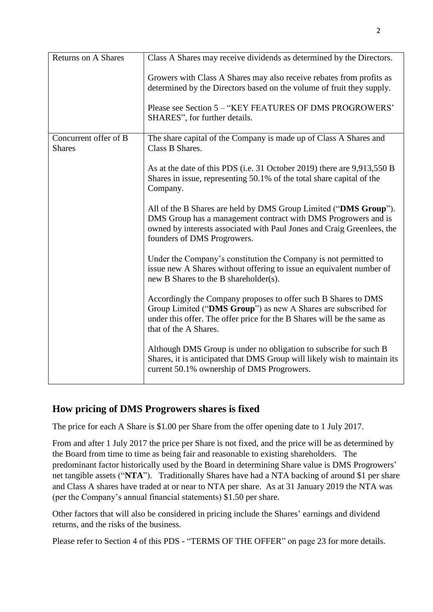| Returns on A Shares                                 | Class A Shares may receive dividends as determined by the Directors.                                                                                                                                                                        |  |
|-----------------------------------------------------|---------------------------------------------------------------------------------------------------------------------------------------------------------------------------------------------------------------------------------------------|--|
|                                                     | Growers with Class A Shares may also receive rebates from profits as<br>determined by the Directors based on the volume of fruit they supply.                                                                                               |  |
|                                                     | Please see Section 5 - "KEY FEATURES OF DMS PROGROWERS"<br>SHARES", for further details.                                                                                                                                                    |  |
| Concurrent offer of $\overline{B}$<br><b>Shares</b> | The share capital of the Company is made up of Class A Shares and<br>Class B Shares.                                                                                                                                                        |  |
|                                                     | As at the date of this PDS (i.e. 31 October 2019) there are 9,913,550 B<br>Shares in issue, representing 50.1% of the total share capital of the<br>Company.                                                                                |  |
|                                                     | All of the B Shares are held by DMS Group Limited ("DMS Group").<br>DMS Group has a management contract with DMS Progrowers and is<br>owned by interests associated with Paul Jones and Craig Greenlees, the<br>founders of DMS Progrowers. |  |
|                                                     | Under the Company's constitution the Company is not permitted to<br>issue new A Shares without offering to issue an equivalent number of<br>new B Shares to the B shareholder(s).                                                           |  |
|                                                     | Accordingly the Company proposes to offer such B Shares to DMS<br>Group Limited ("DMS Group") as new A Shares are subscribed for<br>under this offer. The offer price for the B Shares will be the same as<br>that of the A Shares.         |  |
|                                                     | Although DMS Group is under no obligation to subscribe for such B<br>Shares, it is anticipated that DMS Group will likely wish to maintain its<br>current 50.1% ownership of DMS Progrowers.                                                |  |

# **How pricing of DMS Progrowers shares is fixed**

The price for each A Share is \$1.00 per Share from the offer opening date to 1 July 2017.

From and after 1 July 2017 the price per Share is not fixed, and the price will be as determined by the Board from time to time as being fair and reasonable to existing shareholders. The predominant factor historically used by the Board in determining Share value is DMS Progrowers' net tangible assets ("**NTA**"). Traditionally Shares have had a NTA backing of around \$1 per share and Class A shares have traded at or near to NTA per share. As at 31 January 2019 the NTA was (per the Company's annual financial statements) \$1.50 per share.

Other factors that will also be considered in pricing include the Shares' earnings and dividend returns, and the risks of the business.

Please refer to Section 4 of this PDS - "TERMS OF THE OFFER" on page 23 for more details.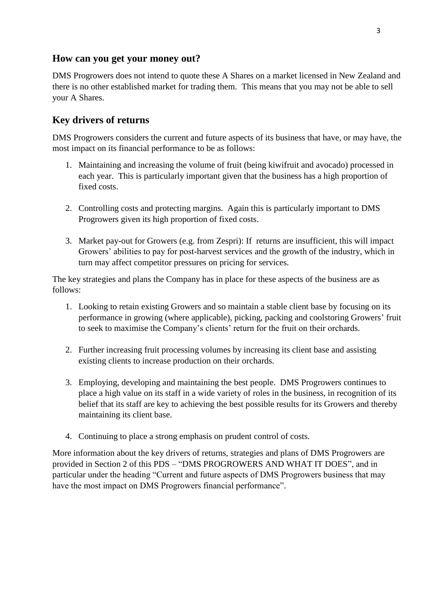#### **How can you get your money out?**

DMS Progrowers does not intend to quote these A Shares on a market licensed in New Zealand and there is no other established market for trading them. This means that you may not be able to sell your A Shares.

### **Key drivers of returns**

DMS Progrowers considers the current and future aspects of its business that have, or may have, the most impact on its financial performance to be as follows:

- 1. Maintaining and increasing the volume of fruit (being kiwifruit and avocado) processed in each year. This is particularly important given that the business has a high proportion of fixed costs.
- 2. Controlling costs and protecting margins. Again this is particularly important to DMS Progrowers given its high proportion of fixed costs.
- 3. Market pay-out for Growers (e.g. from Zespri): If returns are insufficient, this will impact Growers' abilities to pay for post-harvest services and the growth of the industry, which in turn may affect competitor pressures on pricing for services.

The key strategies and plans the Company has in place for these aspects of the business are as follows:

- 1. Looking to retain existing Growers and so maintain a stable client base by focusing on its performance in growing (where applicable), picking, packing and coolstoring Growers' fruit to seek to maximise the Company's clients' return for the fruit on their orchards.
- 2. Further increasing fruit processing volumes by increasing its client base and assisting existing clients to increase production on their orchards.
- 3. Employing, developing and maintaining the best people. DMS Progrowers continues to place a high value on its staff in a wide variety of roles in the business, in recognition of its belief that its staff are key to achieving the best possible results for its Growers and thereby maintaining its client base.
- 4. Continuing to place a strong emphasis on prudent control of costs.

More information about the key drivers of returns, strategies and plans of DMS Progrowers are provided in Section 2 of this PDS – "DMS PROGROWERS AND WHAT IT DOES", and in particular under the heading "Current and future aspects of DMS Progrowers business that may have the most impact on DMS Progrowers financial performance".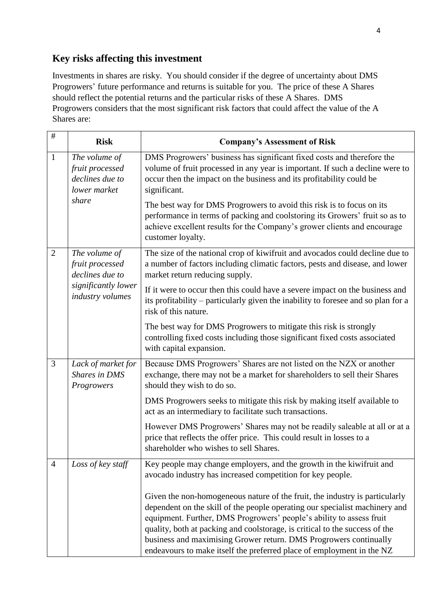# **Key risks affecting this investment**

Investments in shares are risky. You should consider if the degree of uncertainty about DMS Progrowers' future performance and returns is suitable for you. The price of these A Shares should reflect the potential returns and the particular risks of these A Shares. DMS Progrowers considers that the most significant risk factors that could affect the value of the A Shares are:

| $\#$           | <b>Risk</b>                                                         | <b>Company's Assessment of Risk</b>                                                                                                                                                                                                                                                                                                                                                                                                                             |  |
|----------------|---------------------------------------------------------------------|-----------------------------------------------------------------------------------------------------------------------------------------------------------------------------------------------------------------------------------------------------------------------------------------------------------------------------------------------------------------------------------------------------------------------------------------------------------------|--|
| $\mathbf{1}$   | The volume of<br>fruit processed<br>declines due to<br>lower market | DMS Progrowers' business has significant fixed costs and therefore the<br>volume of fruit processed in any year is important. If such a decline were to<br>occur then the impact on the business and its profitability could be<br>significant.                                                                                                                                                                                                                 |  |
|                | share                                                               | The best way for DMS Progrowers to avoid this risk is to focus on its<br>performance in terms of packing and coolstoring its Growers' fruit so as to<br>achieve excellent results for the Company's grower clients and encourage<br>customer loyalty.                                                                                                                                                                                                           |  |
| $\overline{2}$ | The volume of<br>fruit processed<br>declines due to                 | The size of the national crop of kiwifruit and avocados could decline due to<br>a number of factors including climatic factors, pests and disease, and lower<br>market return reducing supply.                                                                                                                                                                                                                                                                  |  |
|                | significantly lower<br><i>industry volumes</i>                      | If it were to occur then this could have a severe impact on the business and<br>its profitability – particularly given the inability to foresee and so plan for a<br>risk of this nature.                                                                                                                                                                                                                                                                       |  |
|                |                                                                     | The best way for DMS Progrowers to mitigate this risk is strongly<br>controlling fixed costs including those significant fixed costs associated<br>with capital expansion.                                                                                                                                                                                                                                                                                      |  |
| 3              | Lack of market for<br><b>Shares in DMS</b><br>Progrowers            | Because DMS Progrowers' Shares are not listed on the NZX or another<br>exchange, there may not be a market for shareholders to sell their Shares<br>should they wish to do so.                                                                                                                                                                                                                                                                                  |  |
|                |                                                                     | DMS Progrowers seeks to mitigate this risk by making itself available to<br>act as an intermediary to facilitate such transactions.                                                                                                                                                                                                                                                                                                                             |  |
|                |                                                                     | However DMS Progrowers' Shares may not be readily saleable at all or at a<br>price that reflects the offer price. This could result in losses to a<br>shareholder who wishes to sell Shares.                                                                                                                                                                                                                                                                    |  |
| $\overline{4}$ | Loss of key staff                                                   | Key people may change employers, and the growth in the kiwifruit and<br>avocado industry has increased competition for key people.                                                                                                                                                                                                                                                                                                                              |  |
|                |                                                                     | Given the non-homogeneous nature of the fruit, the industry is particularly<br>dependent on the skill of the people operating our specialist machinery and<br>equipment. Further, DMS Progrowers' people's ability to assess fruit<br>quality, both at packing and coolstorage, is critical to the success of the<br>business and maximising Grower return. DMS Progrowers continually<br>endeavours to make itself the preferred place of employment in the NZ |  |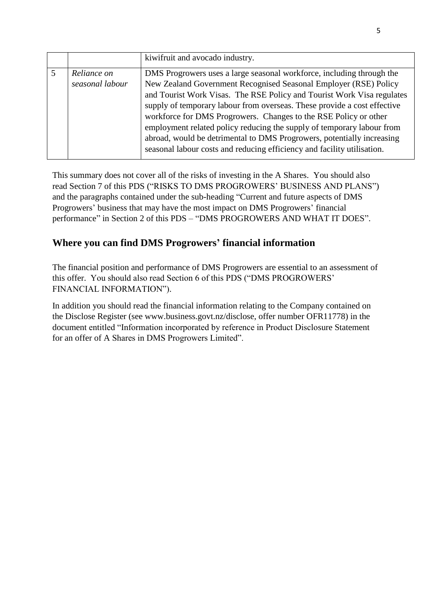|                 | kiwifruit and avocado industry.                                          |  |
|-----------------|--------------------------------------------------------------------------|--|
| Reliance on     | DMS Progrowers uses a large seasonal workforce, including through the    |  |
| seasonal labour | New Zealand Government Recognised Seasonal Employer (RSE) Policy         |  |
|                 | and Tourist Work Visas. The RSE Policy and Tourist Work Visa regulates   |  |
|                 | supply of temporary labour from overseas. These provide a cost effective |  |
|                 | workforce for DMS Progrowers. Changes to the RSE Policy or other         |  |
|                 | employment related policy reducing the supply of temporary labour from   |  |
|                 | abroad, would be detrimental to DMS Progrowers, potentially increasing   |  |
|                 | seasonal labour costs and reducing efficiency and facility utilisation.  |  |
|                 |                                                                          |  |

This summary does not cover all of the risks of investing in the A Shares. You should also read Section 7 of this PDS ("RISKS TO DMS PROGROWERS' BUSINESS AND PLANS") and the paragraphs contained under the sub-heading "Current and future aspects of DMS Progrowers' business that may have the most impact on DMS Progrowers' financial performance" in Section 2 of this PDS – "DMS PROGROWERS AND WHAT IT DOES".

### **Where you can find DMS Progrowers' financial information**

The financial position and performance of DMS Progrowers are essential to an assessment of this offer. You should also read Section 6 of this PDS ("DMS PROGROWERS' FINANCIAL INFORMATION").

In addition you should read the financial information relating to the Company contained on the Disclose Register (see www.business.govt.nz/disclose, offer number OFR11778) in the document entitled "Information incorporated by reference in Product Disclosure Statement for an offer of A Shares in DMS Progrowers Limited".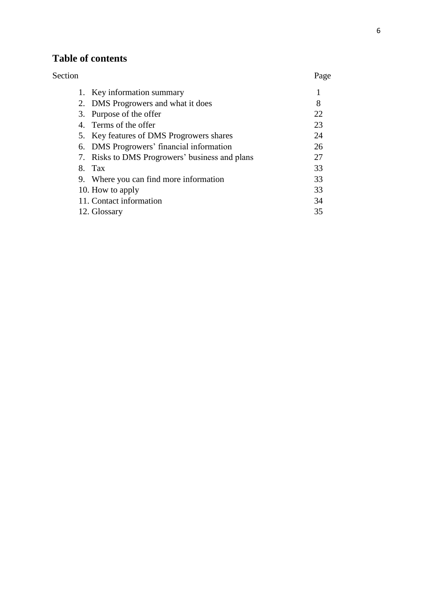# **Table of contents**

| Section |                                                | Page |
|---------|------------------------------------------------|------|
|         | 1. Key information summary                     |      |
|         | 2. DMS Progrowers and what it does             | 8    |
|         | 3. Purpose of the offer                        | 22   |
|         | 4. Terms of the offer                          | 23   |
|         | 5. Key features of DMS Progrowers shares       | 24   |
|         | 6. DMS Progrowers' financial information       | 26   |
|         | 7. Risks to DMS Progrowers' business and plans | 27   |
|         | 8. Tax                                         | 33   |
|         | 9. Where you can find more information         | 33   |
|         | 10. How to apply                               | 33   |
|         | 11. Contact information                        | 34   |
|         | 12. Glossary                                   | 35   |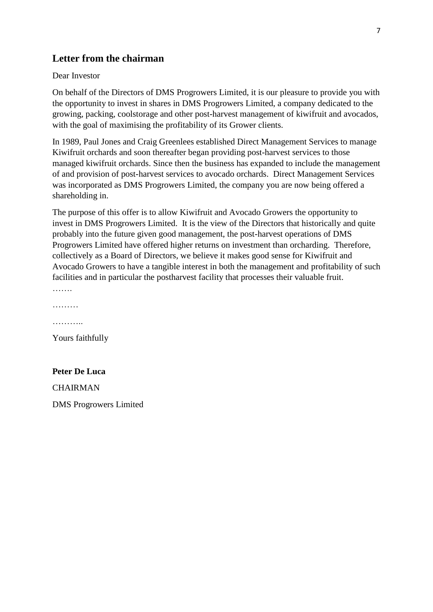# **Letter from the chairman**

#### Dear Investor

On behalf of the Directors of DMS Progrowers Limited, it is our pleasure to provide you with the opportunity to invest in shares in DMS Progrowers Limited, a company dedicated to the growing, packing, coolstorage and other post-harvest management of kiwifruit and avocados, with the goal of maximising the profitability of its Grower clients.

In 1989, Paul Jones and Craig Greenlees established Direct Management Services to manage Kiwifruit orchards and soon thereafter began providing post-harvest services to those managed kiwifruit orchards. Since then the business has expanded to include the management of and provision of post-harvest services to avocado orchards. Direct Management Services was incorporated as DMS Progrowers Limited, the company you are now being offered a shareholding in.

The purpose of this offer is to allow Kiwifruit and Avocado Growers the opportunity to invest in DMS Progrowers Limited. It is the view of the Directors that historically and quite probably into the future given good management, the post-harvest operations of DMS Progrowers Limited have offered higher returns on investment than orcharding. Therefore, collectively as a Board of Directors, we believe it makes good sense for Kiwifruit and Avocado Growers to have a tangible interest in both the management and profitability of such facilities and in particular the postharvest facility that processes their valuable fruit. …….

………

…………

Yours faithfully

#### **Peter De Luca**

**CHAIRMAN** 

DMS Progrowers Limited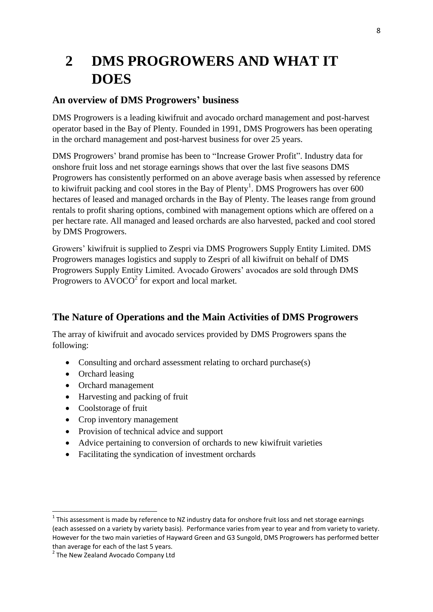# **2 DMS PROGROWERS AND WHAT IT DOES**

#### **An overview of DMS Progrowers' business**

DMS Progrowers is a leading kiwifruit and avocado orchard management and post-harvest operator based in the Bay of Plenty. Founded in 1991, DMS Progrowers has been operating in the orchard management and post-harvest business for over 25 years.

DMS Progrowers' brand promise has been to "Increase Grower Profit". Industry data for onshore fruit loss and net storage earnings shows that over the last five seasons DMS Progrowers has consistently performed on an above average basis when assessed by reference to kiwifruit packing and cool stores in the Bay of Plenty<sup>1</sup>. DMS Progrowers has over 600 hectares of leased and managed orchards in the Bay of Plenty. The leases range from ground rentals to profit sharing options, combined with management options which are offered on a per hectare rate. All managed and leased orchards are also harvested, packed and cool stored by DMS Progrowers.

Growers' kiwifruit is supplied to Zespri via DMS Progrowers Supply Entity Limited. DMS Progrowers manages logistics and supply to Zespri of all kiwifruit on behalf of DMS Progrowers Supply Entity Limited. Avocado Growers' avocados are sold through DMS Progrowers to  $\text{AVOCO}^2$  for export and local market.

### **The Nature of Operations and the Main Activities of DMS Progrowers**

The array of kiwifruit and avocado services provided by DMS Progrowers spans the following:

- Consulting and orchard assessment relating to orchard purchase(s)
- Orchard leasing
- Orchard management
- Harvesting and packing of fruit
- Coolstorage of fruit
- Crop inventory management
- Provision of technical advice and support
- Advice pertaining to conversion of orchards to new kiwifruit varieties
- Facilitating the syndication of investment orchards

 $\overline{a}$ 

 $1$  This assessment is made by reference to NZ industry data for onshore fruit loss and net storage earnings (each assessed on a variety by variety basis). Performance varies from year to year and from variety to variety. However for the two main varieties of Hayward Green and G3 Sungold, DMS Progrowers has performed better than average for each of the last 5 years.

<sup>&</sup>lt;sup>2</sup> The New Zealand Avocado Company Ltd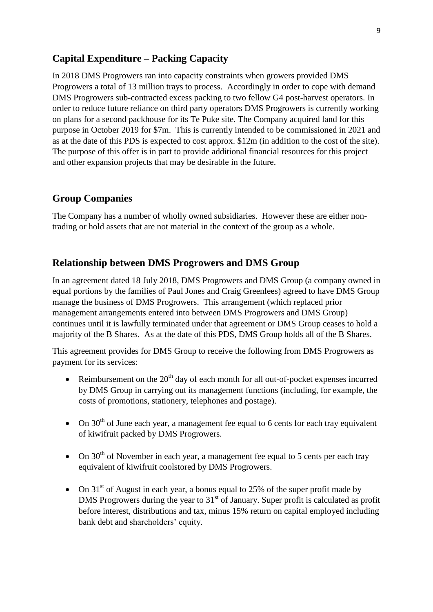#### **Capital Expenditure – Packing Capacity**

In 2018 DMS Progrowers ran into capacity constraints when growers provided DMS Progrowers a total of 13 million trays to process. Accordingly in order to cope with demand DMS Progrowers sub-contracted excess packing to two fellow G4 post-harvest operators. In order to reduce future reliance on third party operators DMS Progrowers is currently working on plans for a second packhouse for its Te Puke site. The Company acquired land for this purpose in October 2019 for \$7m. This is currently intended to be commissioned in 2021 and as at the date of this PDS is expected to cost approx. \$12m (in addition to the cost of the site). The purpose of this offer is in part to provide additional financial resources for this project and other expansion projects that may be desirable in the future.

#### **Group Companies**

The Company has a number of wholly owned subsidiaries. However these are either nontrading or hold assets that are not material in the context of the group as a whole.

#### **Relationship between DMS Progrowers and DMS Group**

In an agreement dated 18 July 2018, DMS Progrowers and DMS Group (a company owned in equal portions by the families of Paul Jones and Craig Greenlees) agreed to have DMS Group manage the business of DMS Progrowers. This arrangement (which replaced prior management arrangements entered into between DMS Progrowers and DMS Group) continues until it is lawfully terminated under that agreement or DMS Group ceases to hold a majority of the B Shares. As at the date of this PDS, DMS Group holds all of the B Shares.

This agreement provides for DMS Group to receive the following from DMS Progrowers as payment for its services:

- Reimbursement on the  $20<sup>th</sup>$  day of each month for all out-of-pocket expenses incurred by DMS Group in carrying out its management functions (including, for example, the costs of promotions, stationery, telephones and postage).
- On  $30<sup>th</sup>$  of June each year, a management fee equal to 6 cents for each tray equivalent of kiwifruit packed by DMS Progrowers.
- On  $30<sup>th</sup>$  of November in each year, a management fee equal to 5 cents per each tray equivalent of kiwifruit coolstored by DMS Progrowers.
- On  $31<sup>st</sup>$  of August in each year, a bonus equal to 25% of the super profit made by DMS Progrowers during the year to  $31<sup>st</sup>$  of January. Super profit is calculated as profit before interest, distributions and tax, minus 15% return on capital employed including bank debt and shareholders' equity.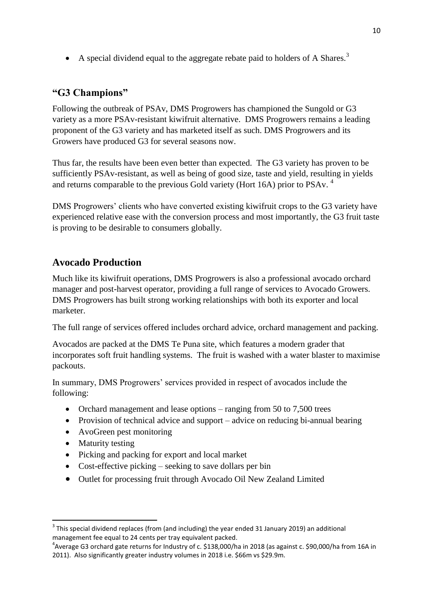A special dividend equal to the aggregate rebate paid to holders of A Shares.<sup>3</sup>

# **"G3 Champions"**

Following the outbreak of PSAv, DMS Progrowers has championed the Sungold or G3 variety as a more PSAv-resistant kiwifruit alternative. DMS Progrowers remains a leading proponent of the G3 variety and has marketed itself as such. DMS Progrowers and its Growers have produced G3 for several seasons now.

Thus far, the results have been even better than expected. The G3 variety has proven to be sufficiently PSAv-resistant, as well as being of good size, taste and yield, resulting in yields and returns comparable to the previous Gold variety (Hort 16A) prior to PSAv.<sup>4</sup>

DMS Progrowers' clients who have converted existing kiwifruit crops to the G3 variety have experienced relative ease with the conversion process and most importantly, the G3 fruit taste is proving to be desirable to consumers globally.

# **Avocado Production**

Much like its kiwifruit operations, DMS Progrowers is also a professional avocado orchard manager and post-harvest operator, providing a full range of services to Avocado Growers. DMS Progrowers has built strong working relationships with both its exporter and local marketer.

The full range of services offered includes orchard advice, orchard management and packing.

Avocados are packed at the DMS Te Puna site, which features a modern grader that incorporates soft fruit handling systems. The fruit is washed with a water blaster to maximise packouts.

In summary, DMS Progrowers' services provided in respect of avocados include the following:

- Orchard management and lease options ranging from 50 to 7,500 trees
- Provision of technical advice and support advice on reducing bi-annual bearing
- AvoGreen pest monitoring
- Maturity testing

**.** 

- Picking and packing for export and local market
- Cost-effective picking seeking to save dollars per bin
- Outlet for processing fruit through Avocado Oil New Zealand Limited

 $3$  This special dividend replaces (from (and including) the year ended 31 January 2019) an additional management fee equal to 24 cents per tray equivalent packed.

<sup>4</sup> Average G3 orchard gate returns for Industry of c. \$138,000/ha in 2018 (as against c. \$90,000/ha from 16A in 2011). Also significantly greater industry volumes in 2018 i.e. \$66m vs \$29.9m.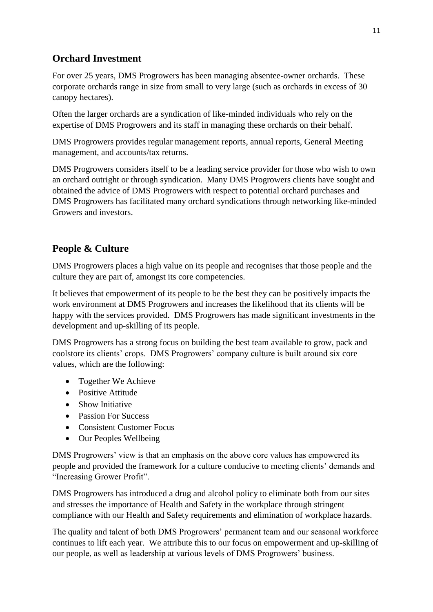# **Orchard Investment**

For over 25 years, DMS Progrowers has been managing absentee-owner orchards. These corporate orchards range in size from small to very large (such as orchards in excess of 30 canopy hectares).

Often the larger orchards are a syndication of like-minded individuals who rely on the expertise of DMS Progrowers and its staff in managing these orchards on their behalf.

DMS Progrowers provides regular management reports, annual reports, General Meeting management, and accounts/tax returns.

DMS Progrowers considers itself to be a leading service provider for those who wish to own an orchard outright or through syndication. Many DMS Progrowers clients have sought and obtained the advice of DMS Progrowers with respect to potential orchard purchases and DMS Progrowers has facilitated many orchard syndications through networking like-minded Growers and investors.

# **People & Culture**

DMS Progrowers places a high value on its people and recognises that those people and the culture they are part of, amongst its core competencies.

It believes that empowerment of its people to be the best they can be positively impacts the work environment at DMS Progrowers and increases the likelihood that its clients will be happy with the services provided. DMS Progrowers has made significant investments in the development and up-skilling of its people.

DMS Progrowers has a strong focus on building the best team available to grow, pack and coolstore its clients' crops. DMS Progrowers' company culture is built around six core values, which are the following:

- Together We Achieve
- Positive Attitude
- Show Initiative
- Passion For Success
- Consistent Customer Focus
- Our Peoples Wellbeing

DMS Progrowers' view is that an emphasis on the above core values has empowered its people and provided the framework for a culture conducive to meeting clients' demands and "Increasing Grower Profit".

DMS Progrowers has introduced a drug and alcohol policy to eliminate both from our sites and stresses the importance of Health and Safety in the workplace through stringent compliance with our Health and Safety requirements and elimination of workplace hazards.

The quality and talent of both DMS Progrowers' permanent team and our seasonal workforce continues to lift each year. We attribute this to our focus on empowerment and up-skilling of our people, as well as leadership at various levels of DMS Progrowers' business.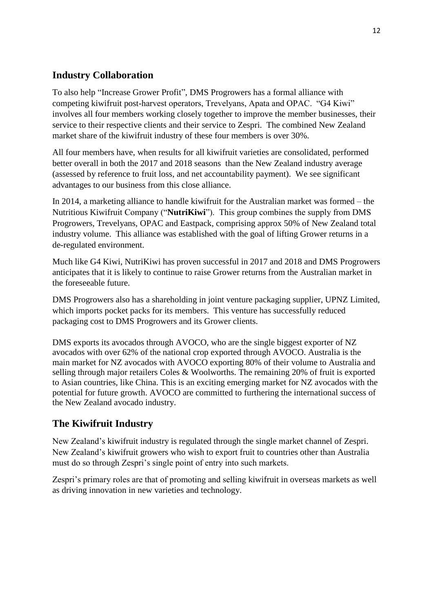# **Industry Collaboration**

To also help "Increase Grower Profit", DMS Progrowers has a formal alliance with competing kiwifruit post-harvest operators, Trevelyans, Apata and OPAC. "G4 Kiwi" involves all four members working closely together to improve the member businesses, their service to their respective clients and their service to Zespri. The combined New Zealand market share of the kiwifruit industry of these four members is over 30%.

All four members have, when results for all kiwifruit varieties are consolidated, performed better overall in both the 2017 and 2018 seasons than the New Zealand industry average (assessed by reference to fruit loss, and net accountability payment). We see significant advantages to our business from this close alliance.

In 2014, a marketing alliance to handle kiwifruit for the Australian market was formed – the Nutritious Kiwifruit Company ("**NutriKiwi**"). This group combines the supply from DMS Progrowers, Trevelyans, OPAC and Eastpack, comprising approx 50% of New Zealand total industry volume. This alliance was established with the goal of lifting Grower returns in a de-regulated environment.

Much like G4 Kiwi, NutriKiwi has proven successful in 2017 and 2018 and DMS Progrowers anticipates that it is likely to continue to raise Grower returns from the Australian market in the foreseeable future.

DMS Progrowers also has a shareholding in joint venture packaging supplier, UPNZ Limited, which imports pocket packs for its members. This venture has successfully reduced packaging cost to DMS Progrowers and its Grower clients.

DMS exports its avocados through AVOCO, who are the single biggest exporter of NZ avocados with over 62% of the national crop exported through AVOCO. Australia is the main market for NZ avocados with AVOCO exporting 80% of their volume to Australia and selling through major retailers Coles & Woolworths. The remaining 20% of fruit is exported to Asian countries, like China. This is an exciting emerging market for NZ avocados with the potential for future growth. AVOCO are committed to furthering the international success of the New Zealand avocado industry.

### **The Kiwifruit Industry**

New Zealand's kiwifruit industry is regulated through the single market channel of Zespri. New Zealand's kiwifruit growers who wish to export fruit to countries other than Australia must do so through Zespri's single point of entry into such markets.

Zespri's primary roles are that of promoting and selling kiwifruit in overseas markets as well as driving innovation in new varieties and technology.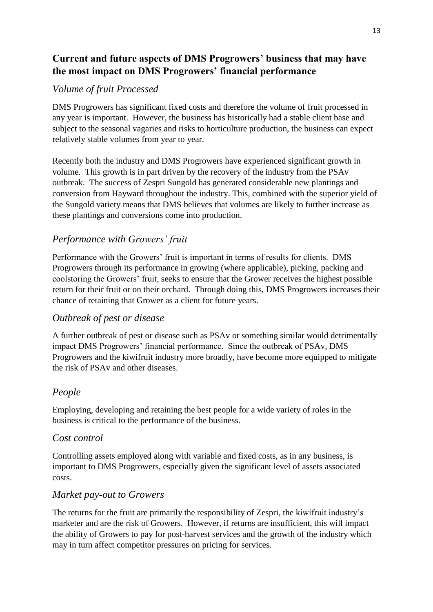# **Current and future aspects of DMS Progrowers' business that may have the most impact on DMS Progrowers' financial performance**

### *Volume of fruit Processed*

DMS Progrowers has significant fixed costs and therefore the volume of fruit processed in any year is important. However, the business has historically had a stable client base and subject to the seasonal vagaries and risks to horticulture production, the business can expect relatively stable volumes from year to year.

Recently both the industry and DMS Progrowers have experienced significant growth in volume. This growth is in part driven by the recovery of the industry from the PSAv outbreak. The success of Zespri Sungold has generated considerable new plantings and conversion from Hayward throughout the industry. This, combined with the superior yield of the Sungold variety means that DMS believes that volumes are likely to further increase as these plantings and conversions come into production.

# *Performance with Growers' fruit*

Performance with the Growers' fruit is important in terms of results for clients. DMS Progrowers through its performance in growing (where applicable), picking, packing and coolstoring the Growers' fruit, seeks to ensure that the Grower receives the highest possible return for their fruit or on their orchard. Through doing this, DMS Progrowers increases their chance of retaining that Grower as a client for future years.

### *Outbreak of pest or disease*

A further outbreak of pest or disease such as PSAv or something similar would detrimentally impact DMS Progrowers' financial performance. Since the outbreak of PSAv, DMS Progrowers and the kiwifruit industry more broadly, have become more equipped to mitigate the risk of PSAv and other diseases.

# *People*

Employing, developing and retaining the best people for a wide variety of roles in the business is critical to the performance of the business.

### *Cost control*

Controlling assets employed along with variable and fixed costs, as in any business, is important to DMS Progrowers, especially given the significant level of assets associated costs.

#### *Market pay-out to Growers*

The returns for the fruit are primarily the responsibility of Zespri, the kiwifruit industry's marketer and are the risk of Growers. However, if returns are insufficient, this will impact the ability of Growers to pay for post-harvest services and the growth of the industry which may in turn affect competitor pressures on pricing for services.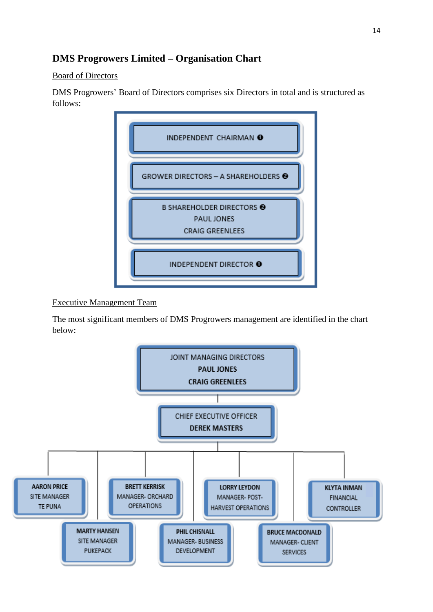# **DMS Progrowers Limited – Organisation Chart**

#### Board of Directors

DMS Progrowers' Board of Directors comprises six Directors in total and is structured as follows:



#### Executive Management Team

The most significant members of DMS Progrowers management are identified in the chart below:

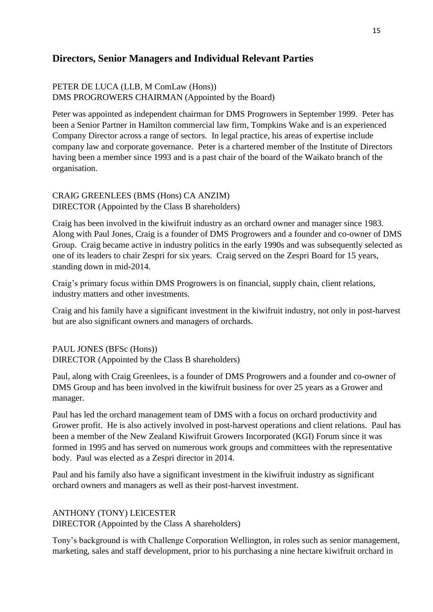### **Directors, Senior Managers and Individual Relevant Parties**

#### PETER DE LUCA (LLB, M ComLaw (Hons)) DMS PROGROWERS CHAIRMAN (Appointed by the Board)

Peter was appointed as independent chairman for DMS Progrowers in September 1999. Peter has been a Senior Partner in Hamilton commercial law firm, Tompkins Wake and is an experienced Company Director across a range of sectors. In legal practice, his areas of expertise include company law and corporate governance. Peter is a chartered member of the Institute of Directors having been a member since 1993 and is a past chair of the board of the Waikato branch of the organisation.

#### CRAIG GREENLEES (BMS (Hons) CA ANZIM) DIRECTOR (Appointed by the Class B shareholders)

Craig has been involved in the kiwifruit industry as an orchard owner and manager since 1983. Along with Paul Jones, Craig is a founder of DMS Progrowers and a founder and co-owner of DMS Group. Craig became active in industry politics in the early 1990s and was subsequently selected as one of its leaders to chair Zespri for six years. Craig served on the Zespri Board for 15 years, standing down in mid-2014.

Craig's primary focus within DMS Progrowers is on financial, supply chain, client relations, industry matters and other investments.

Craig and his family have a significant investment in the kiwifruit industry, not only in post-harvest but are also significant owners and managers of orchards.

PAUL JONES (BFSc (Hons)) DIRECTOR (Appointed by the Class B shareholders)

Paul, along with Craig Greenlees, is a founder of DMS Progrowers and a founder and co-owner of DMS Group and has been involved in the kiwifruit business for over 25 years as a Grower and manager.

Paul has led the orchard management team of DMS with a focus on orchard productivity and Grower profit. He is also actively involved in post-harvest operations and client relations. Paul has been a member of the New Zealand Kiwifruit Growers Incorporated (KGI) Forum since it was formed in 1995 and has served on numerous work groups and committees with the representative body. Paul was elected as a Zespri director in 2014.

Paul and his family also have a significant investment in the kiwifruit industry as significant orchard owners and managers as well as their post-harvest investment.

#### ANTHONY (TONY) LEICESTER

DIRECTOR (Appointed by the Class A shareholders)

Tony's background is with Challenge Corporation Wellington, in roles such as senior management, marketing, sales and staff development, prior to his purchasing a nine hectare kiwifruit orchard in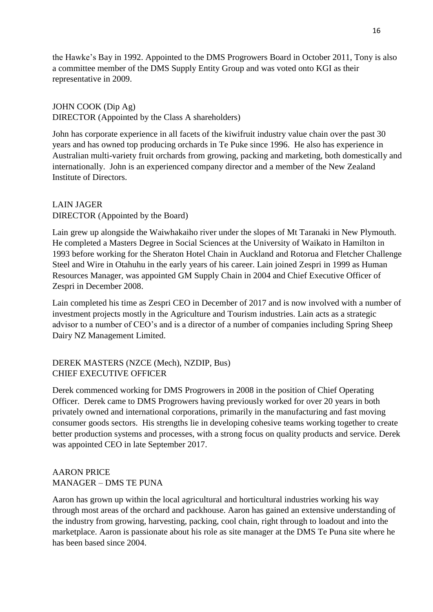the Hawke's Bay in 1992. Appointed to the DMS Progrowers Board in October 2011, Tony is also a committee member of the DMS Supply Entity Group and was voted onto KGI as their representative in 2009.

JOHN COOK (Dip Ag) DIRECTOR (Appointed by the Class A shareholders)

John has corporate experience in all facets of the kiwifruit industry value chain over the past 30 years and has owned top producing orchards in Te Puke since 1996. He also has experience in Australian multi-variety fruit orchards from growing, packing and marketing, both domestically and internationally. John is an experienced company director and a member of the New Zealand Institute of Directors.

#### LAIN JAGER DIRECTOR (Appointed by the Board)

Lain grew up alongside the Waiwhakaiho river under the slopes of Mt Taranaki in New Plymouth. He completed a Masters Degree in Social Sciences at the University of Waikato in Hamilton in 1993 before working for the Sheraton Hotel Chain in Auckland and Rotorua and Fletcher Challenge Steel and Wire in Otahuhu in the early years of his career. Lain joined Zespri in 1999 as Human Resources Manager, was appointed GM Supply Chain in 2004 and Chief Executive Officer of Zespri in December 2008.

Lain completed his time as Zespri CEO in December of 2017 and is now involved with a number of investment projects mostly in the Agriculture and Tourism industries. Lain acts as a strategic advisor to a number of CEO's and is a director of a number of companies including Spring Sheep Dairy NZ Management Limited.

#### DEREK MASTERS (NZCE (Mech), NZDIP, Bus) CHIEF EXECUTIVE OFFICER

Derek commenced working for DMS Progrowers in 2008 in the position of Chief Operating Officer. Derek came to DMS Progrowers having previously worked for over 20 years in both privately owned and international corporations, primarily in the manufacturing and fast moving consumer goods sectors. His strengths lie in developing cohesive teams working together to create better production systems and processes, with a strong focus on quality products and service. Derek was appointed CEO in late September 2017.

#### AARON PRICE MANAGER – DMS TE PUNA

Aaron has grown up within the local agricultural and horticultural industries working his way through most areas of the orchard and packhouse. Aaron has gained an extensive understanding of the industry from growing, harvesting, packing, cool chain, right through to loadout and into the marketplace. Aaron is passionate about his role as site manager at the DMS Te Puna site where he has been based since 2004.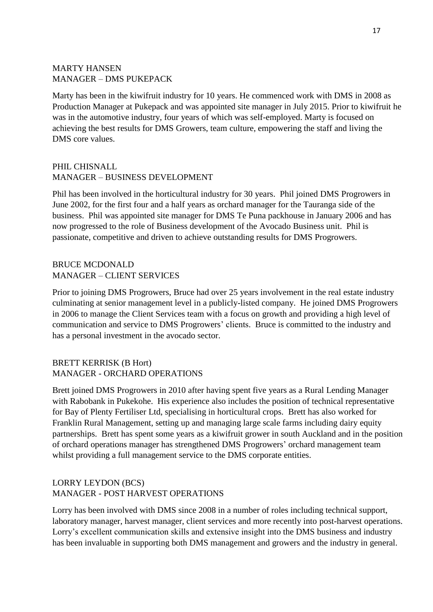#### MARTY HANSEN MANAGER – DMS PUKEPACK

Marty has been in the kiwifruit industry for 10 years. He commenced work with DMS in 2008 as Production Manager at Pukepack and was appointed site manager in July 2015. Prior to kiwifruit he was in the automotive industry, four years of which was self-employed. Marty is focused on achieving the best results for DMS Growers, team culture, empowering the staff and living the DMS core values.

#### PHIL CHISNALL MANAGER – BUSINESS DEVELOPMENT

Phil has been involved in the horticultural industry for 30 years. Phil joined DMS Progrowers in June 2002, for the first four and a half years as orchard manager for the Tauranga side of the business. Phil was appointed site manager for DMS Te Puna packhouse in January 2006 and has now progressed to the role of Business development of the Avocado Business unit. Phil is passionate, competitive and driven to achieve outstanding results for DMS Progrowers.

#### BRUCE MCDONALD MANAGER – CLIENT SERVICES

Prior to joining DMS Progrowers, Bruce had over 25 years involvement in the real estate industry culminating at senior management level in a publicly-listed company. He joined DMS Progrowers in 2006 to manage the Client Services team with a focus on growth and providing a high level of communication and service to DMS Progrowers' clients. Bruce is committed to the industry and has a personal investment in the avocado sector.

#### BRETT KERRISK (B Hort) MANAGER - ORCHARD OPERATIONS

Brett joined DMS Progrowers in 2010 after having spent five years as a Rural Lending Manager with Rabobank in Pukekohe. His experience also includes the position of technical representative for Bay of Plenty Fertiliser Ltd, specialising in horticultural crops. Brett has also worked for Franklin Rural Management, setting up and managing large scale farms including dairy equity partnerships. Brett has spent some years as a kiwifruit grower in south Auckland and in the position of orchard operations manager has strengthened DMS Progrowers' orchard management team whilst providing a full management service to the DMS corporate entities.

#### LORRY LEYDON (BCS) MANAGER - POST HARVEST OPERATIONS

Lorry has been involved with DMS since 2008 in a number of roles including technical support, laboratory manager, harvest manager, client services and more recently into post-harvest operations. Lorry's excellent communication skills and extensive insight into the DMS business and industry has been invaluable in supporting both DMS management and growers and the industry in general.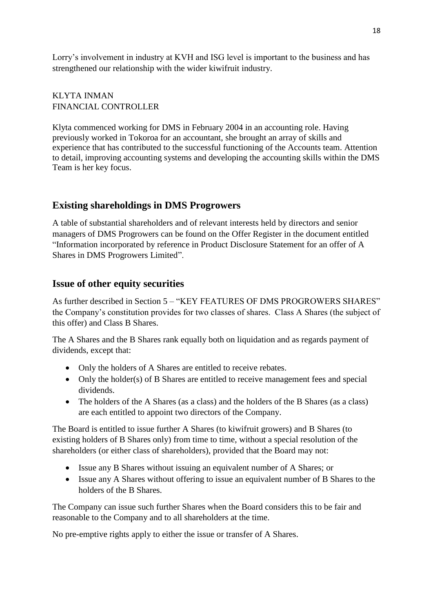Lorry's involvement in industry at KVH and ISG level is important to the business and has strengthened our relationship with the wider kiwifruit industry.

#### KLYTA INMAN FINANCIAL CONTROLLER

Klyta commenced working for DMS in February 2004 in an accounting role. Having previously worked in Tokoroa for an accountant, she brought an array of skills and experience that has contributed to the successful functioning of the Accounts team. Attention to detail, improving accounting systems and developing the accounting skills within the DMS Team is her key focus.

#### **Existing shareholdings in DMS Progrowers**

A table of substantial shareholders and of relevant interests held by directors and senior managers of DMS Progrowers can be found on the Offer Register in the document entitled "Information incorporated by reference in Product Disclosure Statement for an offer of A Shares in DMS Progrowers Limited".

#### **Issue of other equity securities**

As further described in Section 5 – "KEY FEATURES OF DMS PROGROWERS SHARES" the Company's constitution provides for two classes of shares. Class A Shares (the subject of this offer) and Class B Shares.

The A Shares and the B Shares rank equally both on liquidation and as regards payment of dividends, except that:

- Only the holders of A Shares are entitled to receive rebates.
- Only the holder(s) of B Shares are entitled to receive management fees and special dividends.
- The holders of the A Shares (as a class) and the holders of the B Shares (as a class) are each entitled to appoint two directors of the Company.

The Board is entitled to issue further A Shares (to kiwifruit growers) and B Shares (to existing holders of B Shares only) from time to time, without a special resolution of the shareholders (or either class of shareholders), provided that the Board may not:

- Issue any B Shares without issuing an equivalent number of A Shares; or
- Issue any A Shares without offering to issue an equivalent number of B Shares to the holders of the B Shares.

The Company can issue such further Shares when the Board considers this to be fair and reasonable to the Company and to all shareholders at the time.

No pre-emptive rights apply to either the issue or transfer of A Shares.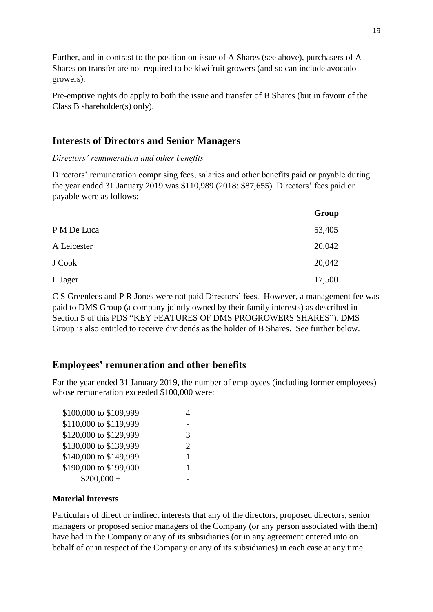Further, and in contrast to the position on issue of A Shares (see above), purchasers of A Shares on transfer are not required to be kiwifruit growers (and so can include avocado growers).

Pre-emptive rights do apply to both the issue and transfer of B Shares (but in favour of the Class B shareholder(s) only).

#### **Interests of Directors and Senior Managers**

*Directors' remuneration and other benefits*

Directors' remuneration comprising fees, salaries and other benefits paid or payable during the year ended 31 January 2019 was \$110,989 (2018: \$87,655). Directors' fees paid or payable were as follows:

|             | Group  |
|-------------|--------|
| P M De Luca | 53,405 |
| A Leicester | 20,042 |
| J Cook      | 20,042 |
| L Jager     | 17,500 |

C S Greenlees and P R Jones were not paid Directors' fees. However, a management fee was paid to DMS Group (a company jointly owned by their family interests) as described in Section 5 of this PDS "KEY FEATURES OF DMS PROGROWERS SHARES"). DMS Group is also entitled to receive dividends as the holder of B Shares. See further below.

#### **Employees' remuneration and other benefits**

For the year ended 31 January 2019, the number of employees (including former employees) whose remuneration exceeded \$100,000 were:

| \$100,000 to \$109,999 |                             |
|------------------------|-----------------------------|
| \$110,000 to \$119,999 |                             |
| \$120,000 to \$129,999 | $\mathcal{R}$               |
| \$130,000 to \$139,999 | $\mathcal{D}_{\mathcal{L}}$ |
| \$140,000 to \$149,999 | 1                           |
| \$190,000 to \$199,000 | 1                           |
| $$200,000 +$           |                             |

#### **Material interests**

Particulars of direct or indirect interests that any of the directors, proposed directors, senior managers or proposed senior managers of the Company (or any person associated with them) have had in the Company or any of its subsidiaries (or in any agreement entered into on behalf of or in respect of the Company or any of its subsidiaries) in each case at any time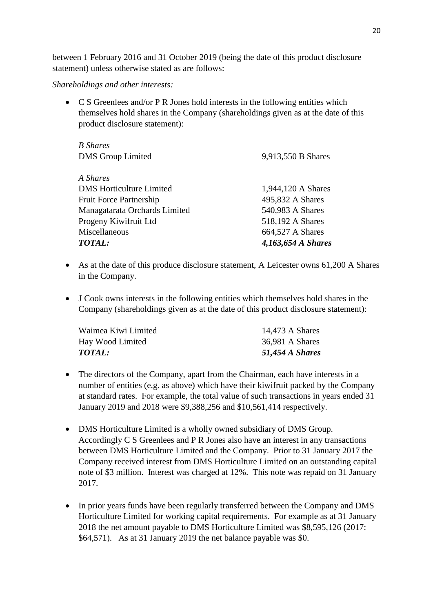between 1 February 2016 and 31 October 2019 (being the date of this product disclosure statement) unless otherwise stated as are follows:

*Shareholdings and other interests:* 

• C S Greenlees and/or P R Jones hold interests in the following entities which themselves hold shares in the Company (shareholdings given as at the date of this product disclosure statement):

| TOTAL:                          | 4,163,654 A Shares |
|---------------------------------|--------------------|
| Miscellaneous                   | 664,527 A Shares   |
| Progeny Kiwifruit Ltd           | 518,192 A Shares   |
| Managatarata Orchards Limited   | 540,983 A Shares   |
| <b>Fruit Force Partnership</b>  | 495,832 A Shares   |
| <b>DMS</b> Horticulture Limited | 1,944,120 A Shares |
| A Shares                        |                    |
| <b>DMS</b> Group Limited        | 9,913,550 B Shares |
| <b>B</b> Shares                 |                    |

- As at the date of this produce disclosure statement, A Leicester owns 61,200 A Shares in the Company.
- J Cook owns interests in the following entities which themselves hold shares in the Company (shareholdings given as at the date of this product disclosure statement):

| <b>TOTAL:</b>       | <b>51,454 A Shares</b> |
|---------------------|------------------------|
| Hay Wood Limited    | 36,981 A Shares        |
| Waimea Kiwi Limited | 14,473 A Shares        |

- The directors of the Company, apart from the Chairman, each have interests in a number of entities (e.g. as above) which have their kiwifruit packed by the Company at standard rates. For example, the total value of such transactions in years ended 31 January 2019 and 2018 were \$9,388,256 and \$10,561,414 respectively.
- DMS Horticulture Limited is a wholly owned subsidiary of DMS Group. Accordingly C S Greenlees and P R Jones also have an interest in any transactions between DMS Horticulture Limited and the Company. Prior to 31 January 2017 the Company received interest from DMS Horticulture Limited on an outstanding capital note of \$3 million. Interest was charged at 12%. This note was repaid on 31 January 2017.
- In prior years funds have been regularly transferred between the Company and DMS Horticulture Limited for working capital requirements. For example as at 31 January 2018 the net amount payable to DMS Horticulture Limited was \$8,595,126 (2017: \$64,571). As at 31 January 2019 the net balance payable was \$0.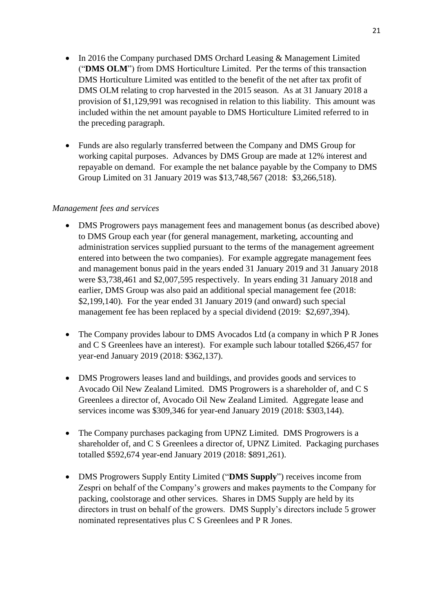- In 2016 the Company purchased DMS Orchard Leasing & Management Limited ("**DMS OLM**") from DMS Horticulture Limited. Per the terms of this transaction DMS Horticulture Limited was entitled to the benefit of the net after tax profit of DMS OLM relating to crop harvested in the 2015 season. As at 31 January 2018 a provision of \$1,129,991 was recognised in relation to this liability. This amount was included within the net amount payable to DMS Horticulture Limited referred to in the preceding paragraph.
- Funds are also regularly transferred between the Company and DMS Group for working capital purposes. Advances by DMS Group are made at 12% interest and repayable on demand. For example the net balance payable by the Company to DMS Group Limited on 31 January 2019 was \$13,748,567 (2018: \$3,266,518).

#### *Management fees and services*

- DMS Progrowers pays management fees and management bonus (as described above) to DMS Group each year (for general management, marketing, accounting and administration services supplied pursuant to the terms of the management agreement entered into between the two companies). For example aggregate management fees and management bonus paid in the years ended 31 January 2019 and 31 January 2018 were \$3,738,461 and \$2,007,595 respectively. In years ending 31 January 2018 and earlier, DMS Group was also paid an additional special management fee (2018: \$2,199,140). For the year ended 31 January 2019 (and onward) such special management fee has been replaced by a special dividend (2019: \$2,697,394).
- The Company provides labour to DMS Avocados Ltd (a company in which P R Jones and C S Greenlees have an interest). For example such labour totalled \$266,457 for year-end January 2019 (2018: \$362,137).
- DMS Progrowers leases land and buildings, and provides goods and services to Avocado Oil New Zealand Limited. DMS Progrowers is a shareholder of, and C S Greenlees a director of, Avocado Oil New Zealand Limited. Aggregate lease and services income was \$309,346 for year-end January 2019 (2018: \$303,144).
- The Company purchases packaging from UPNZ Limited. DMS Progrowers is a shareholder of, and C S Greenlees a director of, UPNZ Limited. Packaging purchases totalled \$592,674 year-end January 2019 (2018: \$891,261).
- DMS Progrowers Supply Entity Limited ("**DMS Supply**") receives income from Zespri on behalf of the Company's growers and makes payments to the Company for packing, coolstorage and other services. Shares in DMS Supply are held by its directors in trust on behalf of the growers. DMS Supply's directors include 5 grower nominated representatives plus C S Greenlees and P R Jones.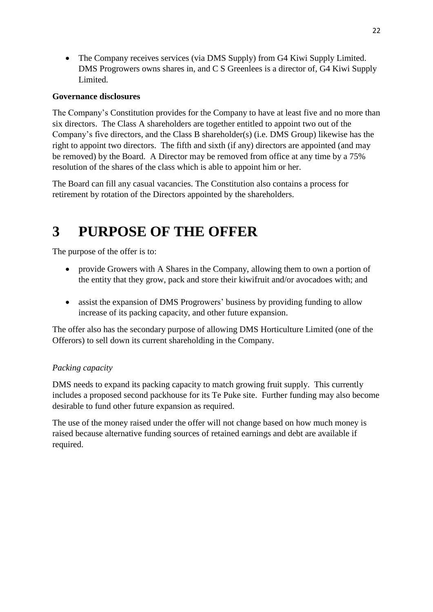• The Company receives services (via DMS Supply) from G4 Kiwi Supply Limited. DMS Progrowers owns shares in, and C S Greenlees is a director of, G4 Kiwi Supply Limited.

#### **Governance disclosures**

The Company's Constitution provides for the Company to have at least five and no more than six directors. The Class A shareholders are together entitled to appoint two out of the Company's five directors, and the Class B shareholder(s) (i.e. DMS Group) likewise has the right to appoint two directors. The fifth and sixth (if any) directors are appointed (and may be removed) by the Board. A Director may be removed from office at any time by a 75% resolution of the shares of the class which is able to appoint him or her.

The Board can fill any casual vacancies. The Constitution also contains a process for retirement by rotation of the Directors appointed by the shareholders.

# **3 PURPOSE OF THE OFFER**

The purpose of the offer is to:

- provide Growers with A Shares in the Company, allowing them to own a portion of the entity that they grow, pack and store their kiwifruit and/or avocadoes with; and
- assist the expansion of DMS Progrowers' business by providing funding to allow increase of its packing capacity, and other future expansion.

The offer also has the secondary purpose of allowing DMS Horticulture Limited (one of the Offerors) to sell down its current shareholding in the Company.

#### *Packing capacity*

DMS needs to expand its packing capacity to match growing fruit supply. This currently includes a proposed second packhouse for its Te Puke site. Further funding may also become desirable to fund other future expansion as required.

The use of the money raised under the offer will not change based on how much money is raised because alternative funding sources of retained earnings and debt are available if required.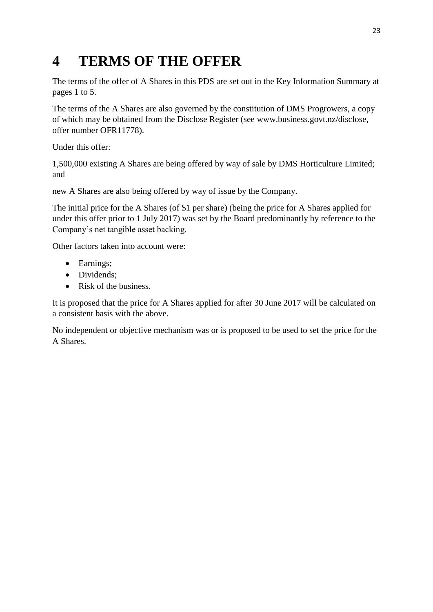# **4 TERMS OF THE OFFER**

The terms of the offer of A Shares in this PDS are set out in the Key Information Summary at pages 1 to 5.

The terms of the A Shares are also governed by the constitution of DMS Progrowers, a copy of which may be obtained from the Disclose Register (see www.business.govt.nz/disclose, offer number OFR11778).

Under this offer:

1,500,000 existing A Shares are being offered by way of sale by DMS Horticulture Limited; and

new A Shares are also being offered by way of issue by the Company.

The initial price for the A Shares (of \$1 per share) (being the price for A Shares applied for under this offer prior to 1 July 2017) was set by the Board predominantly by reference to the Company's net tangible asset backing.

Other factors taken into account were:

- Earnings;
- Dividends:
- Risk of the business.

It is proposed that the price for A Shares applied for after 30 June 2017 will be calculated on a consistent basis with the above.

No independent or objective mechanism was or is proposed to be used to set the price for the A Shares.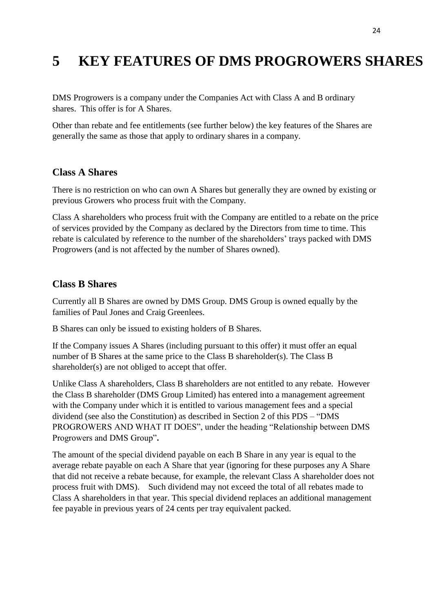# **5 KEY FEATURES OF DMS PROGROWERS SHARES**

DMS Progrowers is a company under the Companies Act with Class A and B ordinary shares. This offer is for A Shares.

Other than rebate and fee entitlements (see further below) the key features of the Shares are generally the same as those that apply to ordinary shares in a company.

#### **Class A Shares**

There is no restriction on who can own A Shares but generally they are owned by existing or previous Growers who process fruit with the Company.

Class A shareholders who process fruit with the Company are entitled to a rebate on the price of services provided by the Company as declared by the Directors from time to time. This rebate is calculated by reference to the number of the shareholders' trays packed with DMS Progrowers (and is not affected by the number of Shares owned).

#### **Class B Shares**

Currently all B Shares are owned by DMS Group. DMS Group is owned equally by the families of Paul Jones and Craig Greenlees.

B Shares can only be issued to existing holders of B Shares.

If the Company issues A Shares (including pursuant to this offer) it must offer an equal number of B Shares at the same price to the Class B shareholder(s). The Class B shareholder(s) are not obliged to accept that offer.

Unlike Class A shareholders, Class B shareholders are not entitled to any rebate. However the Class B shareholder (DMS Group Limited) has entered into a management agreement with the Company under which it is entitled to various management fees and a special dividend (see also the Constitution) as described in Section 2 of this PDS – "DMS PROGROWERS AND WHAT IT DOES", under the heading "Relationship between DMS Progrowers and DMS Group"**.**

The amount of the special dividend payable on each B Share in any year is equal to the average rebate payable on each A Share that year (ignoring for these purposes any A Share that did not receive a rebate because, for example, the relevant Class A shareholder does not process fruit with DMS). Such dividend may not exceed the total of all rebates made to Class A shareholders in that year. This special dividend replaces an additional management fee payable in previous years of 24 cents per tray equivalent packed.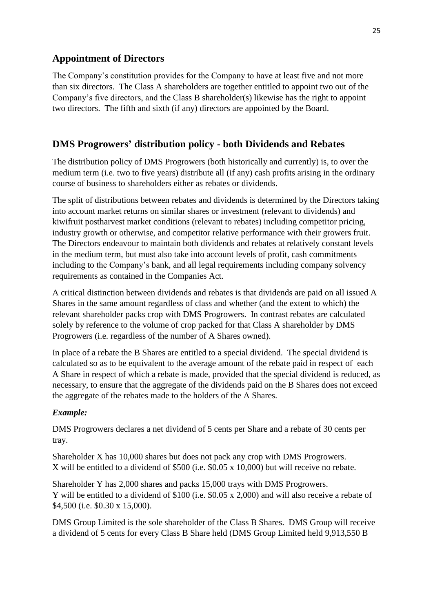### **Appointment of Directors**

The Company's constitution provides for the Company to have at least five and not more than six directors. The Class A shareholders are together entitled to appoint two out of the Company's five directors, and the Class B shareholder(s) likewise has the right to appoint two directors. The fifth and sixth (if any) directors are appointed by the Board.

# **DMS Progrowers' distribution policy - both Dividends and Rebates**

The distribution policy of DMS Progrowers (both historically and currently) is, to over the medium term (i.e. two to five years) distribute all (if any) cash profits arising in the ordinary course of business to shareholders either as rebates or dividends.

The split of distributions between rebates and dividends is determined by the Directors taking into account market returns on similar shares or investment (relevant to dividends) and kiwifruit postharvest market conditions (relevant to rebates) including competitor pricing, industry growth or otherwise, and competitor relative performance with their growers fruit. The Directors endeavour to maintain both dividends and rebates at relatively constant levels in the medium term, but must also take into account levels of profit, cash commitments including to the Company's bank, and all legal requirements including company solvency requirements as contained in the Companies Act.

A critical distinction between dividends and rebates is that dividends are paid on all issued A Shares in the same amount regardless of class and whether (and the extent to which) the relevant shareholder packs crop with DMS Progrowers. In contrast rebates are calculated solely by reference to the volume of crop packed for that Class A shareholder by DMS Progrowers (i.e. regardless of the number of A Shares owned).

In place of a rebate the B Shares are entitled to a special dividend. The special dividend is calculated so as to be equivalent to the average amount of the rebate paid in respect of each A Share in respect of which a rebate is made, provided that the special dividend is reduced, as necessary, to ensure that the aggregate of the dividends paid on the B Shares does not exceed the aggregate of the rebates made to the holders of the A Shares.

#### *Example:*

DMS Progrowers declares a net dividend of 5 cents per Share and a rebate of 30 cents per tray.

Shareholder X has 10,000 shares but does not pack any crop with DMS Progrowers. X will be entitled to a dividend of \$500 (i.e. \$0.05 x 10,000) but will receive no rebate.

Shareholder Y has 2,000 shares and packs 15,000 trays with DMS Progrowers. Y will be entitled to a dividend of \$100 (i.e. \$0.05 x 2,000) and will also receive a rebate of \$4,500 (i.e. \$0.30 x 15,000).

DMS Group Limited is the sole shareholder of the Class B Shares. DMS Group will receive a dividend of 5 cents for every Class B Share held (DMS Group Limited held 9,913,550 B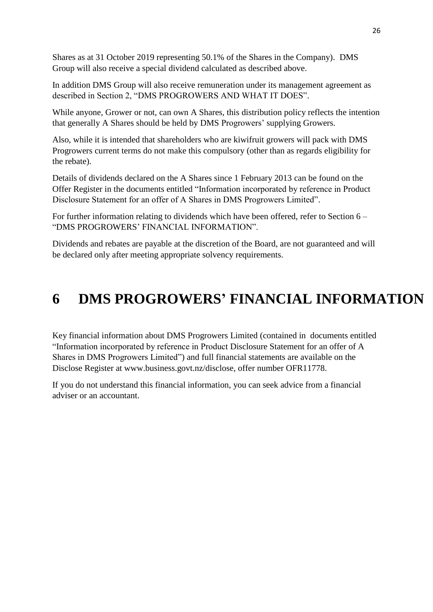Shares as at 31 October 2019 representing 50.1% of the Shares in the Company). DMS Group will also receive a special dividend calculated as described above.

In addition DMS Group will also receive remuneration under its management agreement as described in Section 2, "DMS PROGROWERS AND WHAT IT DOES".

While anyone, Grower or not, can own A Shares, this distribution policy reflects the intention that generally A Shares should be held by DMS Progrowers' supplying Growers.

Also, while it is intended that shareholders who are kiwifruit growers will pack with DMS Progrowers current terms do not make this compulsory (other than as regards eligibility for the rebate).

Details of dividends declared on the A Shares since 1 February 2013 can be found on the Offer Register in the documents entitled "Information incorporated by reference in Product Disclosure Statement for an offer of A Shares in DMS Progrowers Limited".

For further information relating to dividends which have been offered, refer to Section 6 – "DMS PROGROWERS' FINANCIAL INFORMATION".

Dividends and rebates are payable at the discretion of the Board, are not guaranteed and will be declared only after meeting appropriate solvency requirements.

# **6 DMS PROGROWERS' FINANCIAL INFORMATION**

Key financial information about DMS Progrowers Limited (contained in documents entitled "Information incorporated by reference in Product Disclosure Statement for an offer of A Shares in DMS Progrowers Limited") and full financial statements are available on the Disclose Register at www.business.govt.nz/disclose, offer number OFR11778.

If you do not understand this financial information, you can seek advice from a financial adviser or an accountant.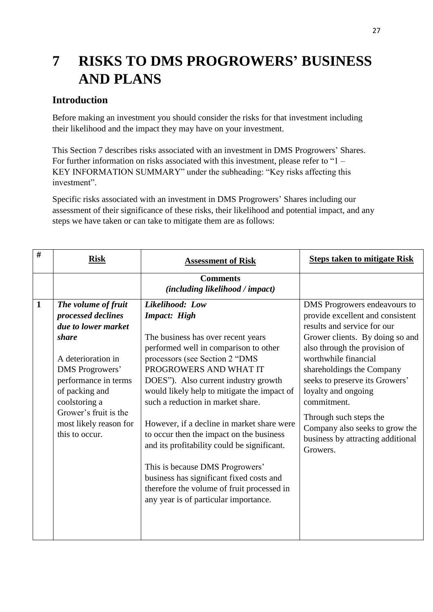# **7 RISKS TO DMS PROGROWERS' BUSINESS AND PLANS**

# **Introduction**

Before making an investment you should consider the risks for that investment including their likelihood and the impact they may have on your investment.

This Section 7 describes risks associated with an investment in DMS Progrowers' Shares. For further information on risks associated with this investment, please refer to "1 – KEY INFORMATION SUMMARY" under the subheading: "Key risks affecting this investment".

Specific risks associated with an investment in DMS Progrowers' Shares including our assessment of their significance of these risks, their likelihood and potential impact, and any steps we have taken or can take to mitigate them are as follows:

| #            | <b>Risk</b>                                                                                                                                                                                                                                                      | <b>Assessment of Risk</b>                                                                                                                                                                                                                                                                                                                                                                                                                                                                                                                                                                                                    | <b>Steps taken to mitigate Risk</b>                                                                                                                                                                                                                                                                                                                                                                           |
|--------------|------------------------------------------------------------------------------------------------------------------------------------------------------------------------------------------------------------------------------------------------------------------|------------------------------------------------------------------------------------------------------------------------------------------------------------------------------------------------------------------------------------------------------------------------------------------------------------------------------------------------------------------------------------------------------------------------------------------------------------------------------------------------------------------------------------------------------------------------------------------------------------------------------|---------------------------------------------------------------------------------------------------------------------------------------------------------------------------------------------------------------------------------------------------------------------------------------------------------------------------------------------------------------------------------------------------------------|
|              |                                                                                                                                                                                                                                                                  | <b>Comments</b><br>(including likelihood / impact)                                                                                                                                                                                                                                                                                                                                                                                                                                                                                                                                                                           |                                                                                                                                                                                                                                                                                                                                                                                                               |
| $\mathbf{1}$ | The volume of fruit<br>processed declines<br>due to lower market<br><i>share</i><br>A deterioration in<br><b>DMS</b> Progrowers'<br>performance in terms<br>of packing and<br>coolstoring a<br>Grower's fruit is the<br>most likely reason for<br>this to occur. | Likelihood: Low<br><b>Impact: High</b><br>The business has over recent years<br>performed well in comparison to other<br>processors (see Section 2 "DMS<br>PROGROWERS AND WHAT IT<br>DOES"). Also current industry growth<br>would likely help to mitigate the impact of<br>such a reduction in market share.<br>However, if a decline in market share were<br>to occur then the impact on the business<br>and its profitability could be significant.<br>This is because DMS Progrowers'<br>business has significant fixed costs and<br>therefore the volume of fruit processed in<br>any year is of particular importance. | DMS Progrowers endeavours to<br>provide excellent and consistent<br>results and service for our<br>Grower clients. By doing so and<br>also through the provision of<br>worthwhile financial<br>shareholdings the Company<br>seeks to preserve its Growers'<br>loyalty and ongoing<br>commitment.<br>Through such steps the<br>Company also seeks to grow the<br>business by attracting additional<br>Growers. |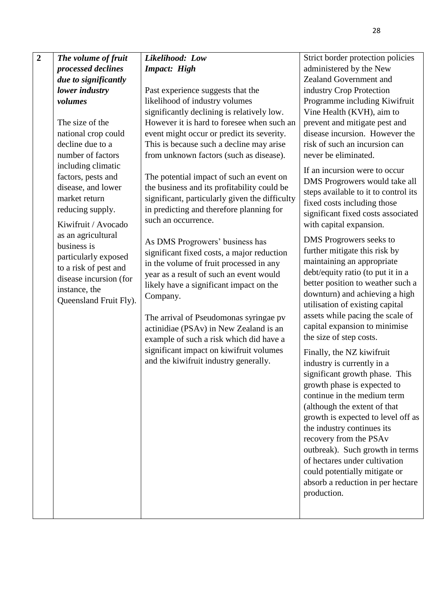| $\overline{2}$ | The volume of fruit    | Likelihood: Low                                                                       | Strict border protection policies    |
|----------------|------------------------|---------------------------------------------------------------------------------------|--------------------------------------|
|                | processed declines     | <b>Impact: High</b>                                                                   | administered by the New              |
|                | due to significantly   |                                                                                       | Zealand Government and               |
|                | lower industry         | Past experience suggests that the                                                     | industry Crop Protection             |
|                | volumes                | likelihood of industry volumes                                                        | Programme including Kiwifruit        |
|                |                        | significantly declining is relatively low.                                            | Vine Health (KVH), aim to            |
|                | The size of the        | However it is hard to foresee when such an                                            | prevent and mitigate pest and        |
|                | national crop could    | event might occur or predict its severity.                                            | disease incursion. However the       |
|                | decline due to a       | This is because such a decline may arise                                              | risk of such an incursion can        |
|                | number of factors      | from unknown factors (such as disease).                                               | never be eliminated.                 |
|                | including climatic     |                                                                                       | If an incursion were to occur        |
|                | factors, pests and     | The potential impact of such an event on                                              | DMS Progrowers would take all        |
|                | disease, and lower     | the business and its profitability could be                                           | steps available to it to control its |
|                | market return          | significant, particularly given the difficulty                                        | fixed costs including those          |
|                | reducing supply.       | in predicting and therefore planning for                                              | significant fixed costs associated   |
|                | Kiwifruit / Avocado    | such an occurrence.                                                                   | with capital expansion.              |
|                | as an agricultural     |                                                                                       | DMS Progrowers seeks to              |
|                | business is            | As DMS Progrowers' business has                                                       | further mitigate this risk by        |
|                | particularly exposed   | significant fixed costs, a major reduction<br>in the volume of fruit processed in any | maintaining an appropriate           |
|                | to a risk of pest and  | year as a result of such an event would                                               | debt/equity ratio (to put it in a    |
|                | disease incursion (for | likely have a significant impact on the                                               | better position to weather such a    |
|                | instance, the          | Company.                                                                              | downturn) and achieving a high       |
|                | Queensland Fruit Fly). |                                                                                       | utilisation of existing capital      |
|                |                        | The arrival of Pseudomonas syringae pv                                                | assets while pacing the scale of     |
|                |                        | actinidiae (PSAv) in New Zealand is an                                                | capital expansion to minimise        |
|                |                        | example of such a risk which did have a                                               | the size of step costs.              |
|                |                        | significant impact on kiwifruit volumes                                               | Finally, the NZ kiwifruit            |
|                |                        | and the kiwifruit industry generally.                                                 | industry is currently in a           |
|                |                        |                                                                                       | significant growth phase. This       |
|                |                        |                                                                                       | growth phase is expected to          |
|                |                        |                                                                                       | continue in the medium term          |
|                |                        |                                                                                       | (although the extent of that         |
|                |                        |                                                                                       | growth is expected to level off as   |
|                |                        |                                                                                       | the industry continues its           |
|                |                        |                                                                                       | recovery from the PSAv               |
|                |                        |                                                                                       | outbreak). Such growth in terms      |
|                |                        |                                                                                       | of hectares under cultivation        |
|                |                        |                                                                                       | could potentially mitigate or        |
|                |                        |                                                                                       | absorb a reduction in per hectare    |
|                |                        |                                                                                       | production.                          |
|                |                        |                                                                                       |                                      |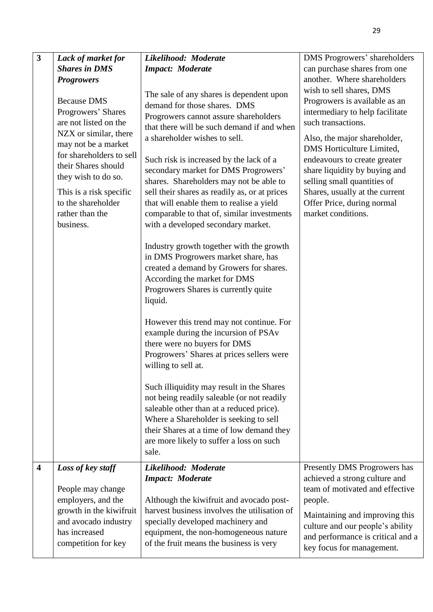| $\mathbf{3}$            | Lack of market for<br><b>Shares in DMS</b><br><b>Progrowers</b><br><b>Because DMS</b><br>Progrowers' Shares<br>are not listed on the<br>NZX or similar, there<br>may not be a market<br>for shareholders to sell<br>their Shares should<br>they wish to do so.<br>This is a risk specific. | Likelihood: Moderate<br><b>Impact: Moderate</b><br>The sale of any shares is dependent upon<br>demand for those shares. DMS<br>Progrowers cannot assure shareholders<br>that there will be such demand if and when<br>a shareholder wishes to sell.<br>Such risk is increased by the lack of a<br>secondary market for DMS Progrowers'<br>shares. Shareholders may not be able to<br>sell their shares as readily as, or at prices                                                                                                                                                                                                                                                                                                                                                                                       | <b>DMS Progrowers' shareholders</b><br>can purchase shares from one<br>another. Where shareholders<br>wish to sell shares, DMS<br>Progrowers is available as an<br>intermediary to help facilitate<br>such transactions.<br>Also, the major shareholder,<br>DMS Horticulture Limited,<br>endeavours to create greater<br>share liquidity by buying and<br>selling small quantities of<br>Shares, usually at the current |
|-------------------------|--------------------------------------------------------------------------------------------------------------------------------------------------------------------------------------------------------------------------------------------------------------------------------------------|--------------------------------------------------------------------------------------------------------------------------------------------------------------------------------------------------------------------------------------------------------------------------------------------------------------------------------------------------------------------------------------------------------------------------------------------------------------------------------------------------------------------------------------------------------------------------------------------------------------------------------------------------------------------------------------------------------------------------------------------------------------------------------------------------------------------------|-------------------------------------------------------------------------------------------------------------------------------------------------------------------------------------------------------------------------------------------------------------------------------------------------------------------------------------------------------------------------------------------------------------------------|
|                         | to the shareholder<br>rather than the<br>business.                                                                                                                                                                                                                                         | that will enable them to realise a yield<br>comparable to that of, similar investments<br>with a developed secondary market.<br>Industry growth together with the growth<br>in DMS Progrowers market share, has<br>created a demand by Growers for shares.<br>According the market for DMS<br>Progrowers Shares is currently quite<br>liquid.<br>However this trend may not continue. For<br>example during the incursion of PSAv<br>there were no buyers for DMS<br>Progrowers' Shares at prices sellers were<br>willing to sell at.<br>Such illiquidity may result in the Shares<br>not being readily saleable (or not readily<br>saleable other than at a reduced price).<br>Where a Shareholder is seeking to sell<br>their Shares at a time of low demand they<br>are more likely to suffer a loss on such<br>sale. | Offer Price, during normal<br>market conditions.                                                                                                                                                                                                                                                                                                                                                                        |
| $\overline{\mathbf{4}}$ | Loss of key staff<br>People may change<br>employers, and the<br>growth in the kiwifruit<br>and avocado industry<br>has increased<br>competition for key                                                                                                                                    | Likelihood: Moderate<br><b>Impact: Moderate</b><br>Although the kiwifruit and avocado post-<br>harvest business involves the utilisation of<br>specially developed machinery and<br>equipment, the non-homogeneous nature<br>of the fruit means the business is very                                                                                                                                                                                                                                                                                                                                                                                                                                                                                                                                                     | Presently DMS Progrowers has<br>achieved a strong culture and<br>team of motivated and effective<br>people.<br>Maintaining and improving this<br>culture and our people's ability<br>and performance is critical and a<br>key focus for management.                                                                                                                                                                     |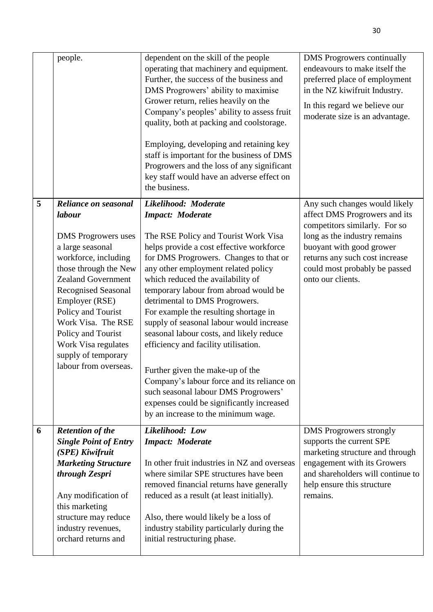|   | people.                                                                                                                                                                                                                                                                                                                                                 | dependent on the skill of the people<br>operating that machinery and equipment.<br>Further, the success of the business and<br>DMS Progrowers' ability to maximise<br>Grower return, relies heavily on the<br>Company's peoples' ability to assess fruit<br>quality, both at packing and coolstorage.<br>Employing, developing and retaining key<br>staff is important for the business of DMS<br>Progrowers and the loss of any significant<br>key staff would have an adverse effect on<br>the business.                                                                                                                                                                                                                  | <b>DMS</b> Progrowers continually<br>endeavours to make itself the<br>preferred place of employment<br>in the NZ kiwifruit Industry.<br>In this regard we believe our<br>moderate size is an advantage.                                             |
|---|---------------------------------------------------------------------------------------------------------------------------------------------------------------------------------------------------------------------------------------------------------------------------------------------------------------------------------------------------------|-----------------------------------------------------------------------------------------------------------------------------------------------------------------------------------------------------------------------------------------------------------------------------------------------------------------------------------------------------------------------------------------------------------------------------------------------------------------------------------------------------------------------------------------------------------------------------------------------------------------------------------------------------------------------------------------------------------------------------|-----------------------------------------------------------------------------------------------------------------------------------------------------------------------------------------------------------------------------------------------------|
| 5 | Reliance on seasonal<br>labour<br><b>DMS</b> Progrowers uses<br>a large seasonal<br>workforce, including<br>those through the New<br><b>Zealand Government</b><br><b>Recognised Seasonal</b><br>Employer (RSE)<br>Policy and Tourist<br>Work Visa. The RSE<br>Policy and Tourist<br>Work Visa regulates<br>supply of temporary<br>labour from overseas. | Likelihood: Moderate<br><b>Impact: Moderate</b><br>The RSE Policy and Tourist Work Visa<br>helps provide a cost effective workforce<br>for DMS Progrowers. Changes to that or<br>any other employment related policy<br>which reduced the availability of<br>temporary labour from abroad would be<br>detrimental to DMS Progrowers.<br>For example the resulting shortage in<br>supply of seasonal labour would increase<br>seasonal labour costs, and likely reduce<br>efficiency and facility utilisation.<br>Further given the make-up of the<br>Company's labour force and its reliance on<br>such seasonal labour DMS Progrowers'<br>expenses could be significantly increased<br>by an increase to the minimum wage. | Any such changes would likely<br>affect DMS Progrowers and its<br>competitors similarly. For so<br>long as the industry remains<br>buoyant with good grower<br>returns any such cost increase<br>could most probably be passed<br>onto our clients. |
| 6 | <b>Retention of the</b><br><b>Single Point of Entry</b><br>(SPE) Kiwifruit<br><b>Marketing Structure</b><br>through Zespri<br>Any modification of<br>this marketing<br>structure may reduce<br>industry revenues,<br>orchard returns and                                                                                                                | Likelihood: Low<br><b>Impact: Moderate</b><br>In other fruit industries in NZ and overseas<br>where similar SPE structures have been<br>removed financial returns have generally<br>reduced as a result (at least initially).<br>Also, there would likely be a loss of<br>industry stability particularly during the<br>initial restructuring phase.                                                                                                                                                                                                                                                                                                                                                                        | <b>DMS</b> Progrowers strongly<br>supports the current SPE<br>marketing structure and through<br>engagement with its Growers<br>and shareholders will continue to<br>help ensure this structure<br>remains.                                         |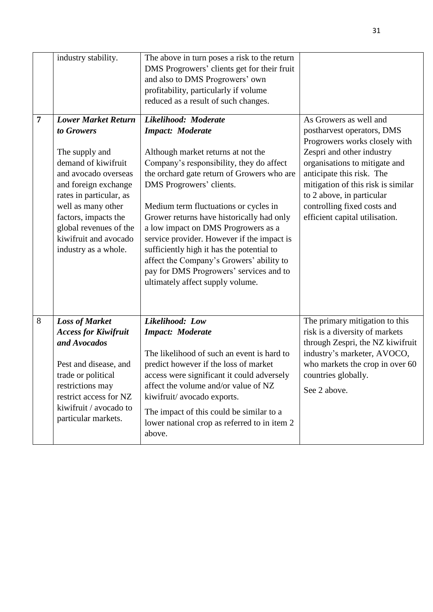|                | industry stability.                                                                                                                                                                                                                                                                   | The above in turn poses a risk to the return<br>DMS Progrowers' clients get for their fruit<br>and also to DMS Progrowers' own<br>profitability, particularly if volume<br>reduced as a result of such changes.                                                                                                                                                                                                                                                                                                                                                |                                                                                                                                                                                                                                                                                                                      |
|----------------|---------------------------------------------------------------------------------------------------------------------------------------------------------------------------------------------------------------------------------------------------------------------------------------|----------------------------------------------------------------------------------------------------------------------------------------------------------------------------------------------------------------------------------------------------------------------------------------------------------------------------------------------------------------------------------------------------------------------------------------------------------------------------------------------------------------------------------------------------------------|----------------------------------------------------------------------------------------------------------------------------------------------------------------------------------------------------------------------------------------------------------------------------------------------------------------------|
| $\overline{7}$ | <b>Lower Market Return</b><br>to Growers<br>The supply and<br>demand of kiwifruit<br>and avocado overseas<br>and foreign exchange<br>rates in particular, as<br>well as many other<br>factors, impacts the<br>global revenues of the<br>kiwifruit and avocado<br>industry as a whole. | Likelihood: Moderate<br><b>Impact: Moderate</b><br>Although market returns at not the<br>Company's responsibility, they do affect<br>the orchard gate return of Growers who are<br>DMS Progrowers' clients.<br>Medium term fluctuations or cycles in<br>Grower returns have historically had only<br>a low impact on DMS Progrowers as a<br>service provider. However if the impact is<br>sufficiently high it has the potential to<br>affect the Company's Growers' ability to<br>pay for DMS Progrowers' services and to<br>ultimately affect supply volume. | As Growers as well and<br>postharvest operators, DMS<br>Progrowers works closely with<br>Zespri and other industry<br>organisations to mitigate and<br>anticipate this risk. The<br>mitigation of this risk is similar<br>to 2 above, in particular<br>controlling fixed costs and<br>efficient capital utilisation. |
| 8              | <b>Loss of Market</b><br><b>Access for Kiwifruit</b><br>and Avocados<br>Pest and disease, and<br>trade or political<br>restrictions may<br>restrict access for NZ<br>kiwifruit / avocado to<br>particular markets.                                                                    | Likelihood: Low<br><b>Impact: Moderate</b><br>The likelihood of such an event is hard to<br>predict however if the loss of market<br>access were significant it could adversely<br>affect the volume and/or value of NZ<br>kiwifruit/avocado exports.<br>The impact of this could be similar to a<br>lower national crop as referred to in item 2<br>above.                                                                                                                                                                                                    | The primary mitigation to this<br>risk is a diversity of markets<br>through Zespri, the NZ kiwifruit<br>industry's marketer, AVOCO,<br>who markets the crop in over 60<br>countries globally.<br>See 2 above.                                                                                                        |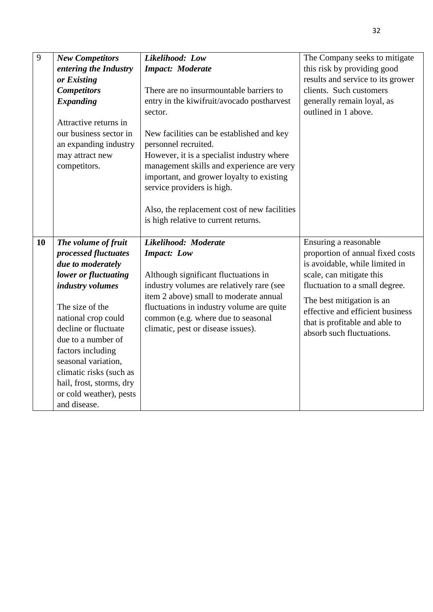| 9  | <b>New Competitors</b>                  | Likelihood: Low                              | The Company seeks to mitigate     |
|----|-----------------------------------------|----------------------------------------------|-----------------------------------|
|    | entering the Industry                   | <b>Impact: Moderate</b>                      | this risk by providing good       |
|    | or Existing                             |                                              | results and service to its grower |
|    | <b>Competitors</b>                      | There are no insurmountable barriers to      | clients. Such customers           |
|    | <b>Expanding</b>                        | entry in the kiwifruit/avocado postharvest   | generally remain loyal, as        |
|    |                                         | sector.                                      | outlined in 1 above.              |
|    | Attractive returns in                   |                                              |                                   |
|    | our business sector in                  | New facilities can be established and key    |                                   |
|    | an expanding industry                   | personnel recruited.                         |                                   |
|    | may attract new                         | However, it is a specialist industry where   |                                   |
|    | competitors.                            | management skills and experience are very    |                                   |
|    |                                         | important, and grower loyalty to existing    |                                   |
|    |                                         | service providers is high.                   |                                   |
|    |                                         |                                              |                                   |
|    |                                         | Also, the replacement cost of new facilities |                                   |
|    |                                         | is high relative to current returns.         |                                   |
|    |                                         |                                              |                                   |
| 10 | The volume of fruit                     | Likelihood: Moderate                         | Ensuring a reasonable             |
|    | processed fluctuates                    | <b>Impact: Low</b>                           | proportion of annual fixed costs  |
|    | due to moderately                       |                                              | is avoidable, while limited in    |
|    | lower or fluctuating                    | Although significant fluctuations in         | scale, can mitigate this          |
|    | industry volumes                        | industry volumes are relatively rare (see    | fluctuation to a small degree.    |
|    |                                         | item 2 above) small to moderate annual       | The best mitigation is an         |
|    | The size of the                         | fluctuations in industry volume are quite    | effective and efficient business  |
|    | national crop could                     | common (e.g. where due to seasonal           | that is profitable and able to    |
|    | decline or fluctuate                    | climatic, pest or disease issues).           | absorb such fluctuations.         |
|    | due to a number of                      |                                              |                                   |
|    | factors including                       |                                              |                                   |
|    | seasonal variation,                     |                                              |                                   |
|    | climatic risks (such as                 |                                              |                                   |
|    |                                         |                                              |                                   |
|    | hail, frost, storms, dry                |                                              |                                   |
|    | or cold weather), pests<br>and disease. |                                              |                                   |

32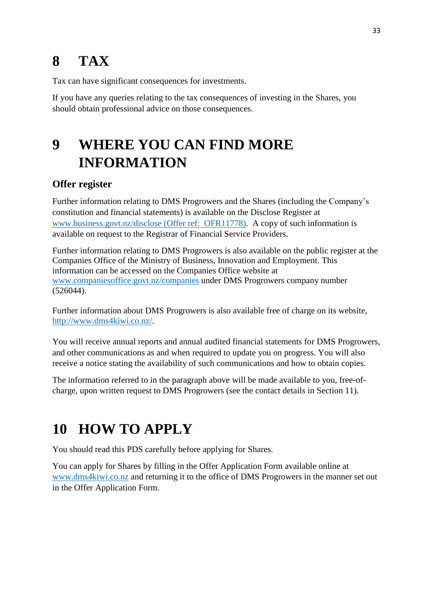# **8 TAX**

Tax can have significant consequences for investments.

If you have any queries relating to the tax consequences of investing in the Shares, you should obtain professional advice on those consequences.

# **9 WHERE YOU CAN FIND MORE INFORMATION**

### **Offer register**

Further information relating to DMS Progrowers and the Shares (including the Company's constitution and financial statements) is available on the Disclose Register at www.business.govt.nz/disclose (Offer ref: OFR11778). A copy of such information is available on request to the Registrar of Financial Service Providers.

Further information relating to DMS Progrowers is also available on the public register at the Companies Office of the Ministry of Business, Innovation and Employment. This information can be accessed on the Companies Office website at [www.companiesoffice.govt.nz/companies](http://www.business.govt.nz/companies) under DMS Progrowers company number (526044).

Further information about DMS Progrowers is also available free of charge on its website, [http://www.dms4kiwi.co.nz/.](http://www.dms4kiwi.co.nz/)

You will receive annual reports and annual audited financial statements for DMS Progrowers, and other communications as and when required to update you on progress. You will also receive a notice stating the availability of such communications and how to obtain copies.

The information referred to in the paragraph above will be made available to you, free-ofcharge, upon written request to DMS Progrowers (see the contact details in Section 11).

# **10 HOW TO APPLY**

You should read this PDS carefully before applying for Shares.

You can apply for Shares by filling in the Offer Application Form available online at [www.dms4kiwi.co.nz](http://www.dms4kiwi.co.nz/) and returning it to the office of DMS Progrowers in the manner set out in the Offer Application Form.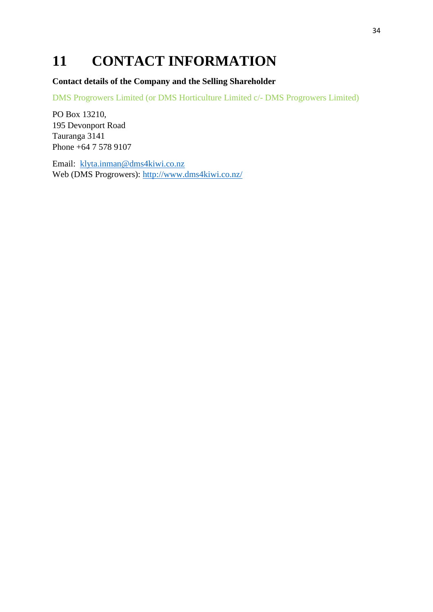# **11 CONTACT INFORMATION**

**Contact details of the Company and the Selling Shareholder**

DMS Progrowers Limited (or DMS Horticulture Limited c/- DMS Progrowers Limited)

PO Box 13210, 195 Devonport Road Tauranga 3141 Phone +64 7 578 9107

Email: [klyta.inman@dms4kiwi.co.nz](mailto:klyta.inman@dms4kiwi.co.nz) Web (DMS Progrowers): http://www.dms4kiwi.co.nz/